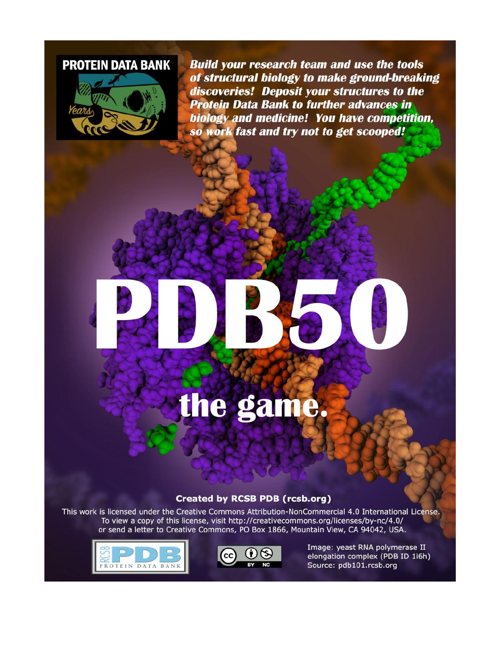### **PROTEIN DATA BANK**



**Build your research team and use the tools** of structural biology to make ground-breaking discoveries! Deposit your structures to the **Protein Data Bank to further advances in** biology and medicine! You have competition. so work fast and try not to get scooped!

# the game

#### **Created by RCSB PDB (rcsb.org)**

This work is licensed under the Creative Commons Attribution-NonCommercial 4.0 International License. To view a copy of this license, visit http://creativecommons.org/licenses/by-nc/4.0/ or send a letter to Creative Commons, PO Box 1866, Mountain View, CA 94042, USA.





Image: yeast RNA polymerase II elongation complex (PDB ID 1i6h) Source: pdb101.rcsb.org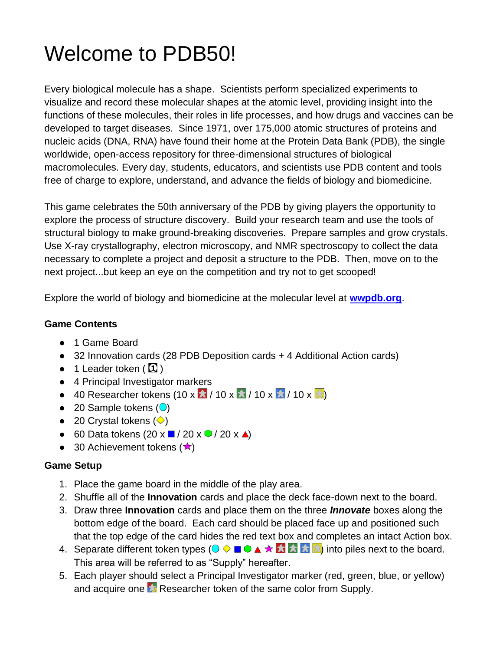## Welcome to PDB50!

Every biological molecule has a shape. Scientists perform specialized experiments to visualize and record these molecular shapes at the atomic level, providing insight into the functions of these molecules, their roles in life processes, and how drugs and vaccines can be developed to target diseases. Since 1971, over 175,000 atomic structures of proteins and nucleic acids (DNA, RNA) have found their home at the Protein Data Bank (PDB), the single worldwide, open-access repository for three-dimensional structures of biological macromolecules. Every day, students, educators, and scientists use PDB content and tools free of charge to explore, understand, and advance the fields of biology and biomedicine.

This game celebrates the 50th anniversary of the PDB by giving players the opportunity to explore the process of structure discovery. Build your research team and use the tools of structural biology to make ground-breaking discoveries. Prepare samples and grow crystals. Use X-ray crystallography, electron microscopy, and NMR spectroscopy to collect the data necessary to complete a project and deposit a structure to the PDB. Then, move on to the next project...but keep an eye on the competition and try not to get scooped!

Explore the world of biology and biomedicine at the molecular level at **[wwpdb.org](https://wwpdb.org/)**.

#### **Game Contents**

- 1 Game Board
- 32 Innovation cards (28 PDB Deposition cards + 4 Additional Action cards)
- 1 Leader token  $(\mathbf{1})$
- 4 Principal Investigator markers
- 40 Researcher tokens (10 x  $\star$  / 10 x  $\star$  / 10 x  $\star$  / 10 x  $\hat{\star}$
- 20 Sample tokens  $(①)$
- 20 Crystal tokens  $($ )
- 60 Data tokens  $(20 \times \blacksquare / 20 \times \lozenge / 20 \times \blacktriangle)$
- 30 Achievement tokens  $(\star)$

#### **Game Setup**

- 1. Place the game board in the middle of the play area.
- 2. Shuffle all of the **Innovation** cards and place the deck face-down next to the board.
- 3. Draw three **Innovation** cards and place them on the three *Innovate* boxes along the bottom edge of the board. Each card should be placed face up and positioned such that the top edge of the card hides the red text box and completes an intact Action box.
- 4. Separate different token types ( $\bigcirc \bullet \blacksquare \bullet \blacktriangle \star \bullet$   $\bigcirc \star \bullet$  into piles next to the board. This area will be referred to as "Supply" hereafter.
- 5. Each player should select a Principal Investigator marker (red, green, blue, or yellow) and acquire one  $\lambda$  Researcher token of the same color from Supply.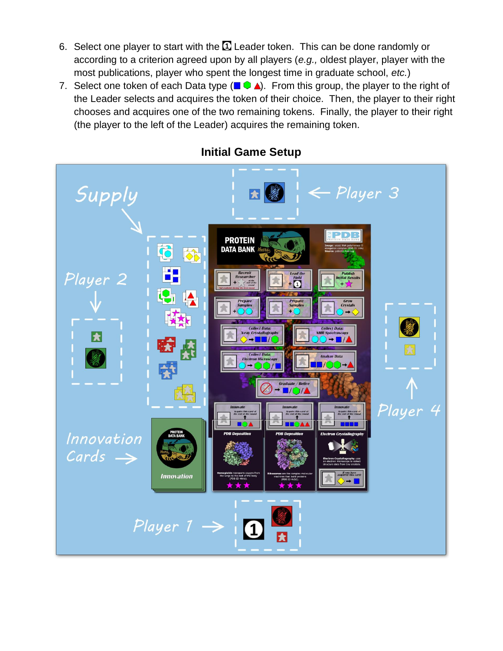- 6. Select one player to start with the  $\Omega$  Leader token. This can be done randomly or according to a criterion agreed upon by all players (*e.g.,* oldest player, player with the most publications, player who spent the longest time in graduate school, *etc.*)
- 7. Select one token of each Data type  $(\blacksquare \bigcirc \blacktriangle)$ . From this group, the player to the right of the Leader selects and acquires the token of their choice. Then, the player to their right chooses and acquires one of the two remaining tokens. Finally, the player to their right (the player to the left of the Leader) acquires the remaining token.



#### **Initial Game Setup**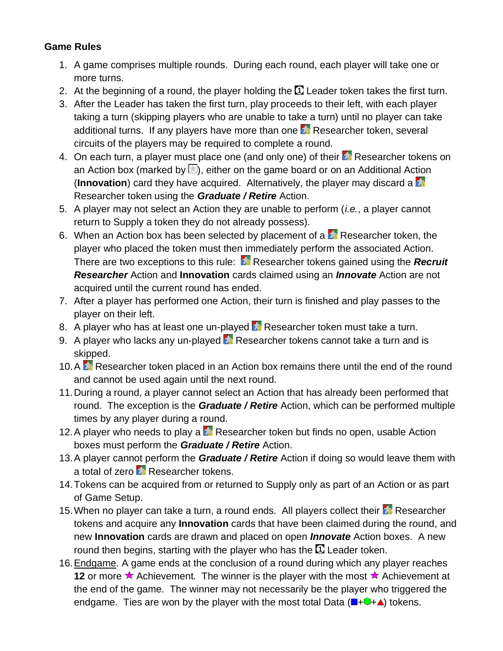#### **Game Rules**

- 1. A game comprises multiple rounds. During each round, each player will take one or more turns.
- 2. At the beginning of a round, the player holding the  $\Omega$  Leader token takes the first turn.
- 3. After the Leader has taken the first turn, play proceeds to their left, with each player taking a turn (skipping players who are unable to take a turn) until no player can take additional turns. If any players have more than one  $\mathbb{Z}$  Researcher token, several circuits of the players may be required to complete a round.
- 4. On each turn, a player must place one (and only one) of their  $\mathbb{Z}$  Researcher tokens on an Action box (marked by  $\Box$ ), either on the game board or on an Additional Action (**Innovation**) card they have acquired. Alternatively, the player may discard a Researcher token using the *Graduate / Retire* Action.
- 5. A player may not select an Action they are unable to perform (*i.e.*, a player cannot return to Supply a token they do not already possess).
- 6. When an Action box has been selected by placement of a  $\lambda$  Researcher token, the player who placed the token must then immediately perform the associated Action. There are two exceptions to this rule: **A** Researcher tokens gained using the **Recruit** *Researcher* Action and **Innovation** cards claimed using an *Innovate* Action are not acquired until the current round has ended.
- 7. After a player has performed one Action, their turn is finished and play passes to the player on their left.
- 8. A player who has at least one un-played **A** Researcher token must take a turn.
- 9. A player who lacks any un-played  $\mathbb{Z}$  Researcher tokens cannot take a turn and is skipped.
- 10.A  $\lambda$  Researcher token placed in an Action box remains there until the end of the round and cannot be used again until the next round.
- 11.During a round, a player cannot select an Action that has already been performed that round. The exception is the *Graduate / Retire* Action, which can be performed multiple times by any player during a round.
- 12. A player who needs to play a  $\lambda$  Researcher token but finds no open, usable Action boxes must perform the *Graduate / Retire* Action.
- 13.A player cannot perform the *Graduate / Retire* Action if doing so would leave them with a total of zero **M** Researcher tokens.
- 14.Tokens can be acquired from or returned to Supply only as part of an Action or as part of Game Setup.
- 15. When no player can take a turn, a round ends. All players collect their  $\mathbb{Z}$  Researcher tokens and acquire any **Innovation** cards that have been claimed during the round, and new **Innovation** cards are drawn and placed on open *Innovate* Action boxes. A new round then begins, starting with the player who has the  $\Omega$  Leader token.
- 16.Endgame. A game ends at the conclusion of a round during which any player reaches **12** or more  $\star$  Achievement. The winner is the player with the most  $\star$  Achievement at the end of the game. The winner may not necessarily be the player who triggered the endgame. Ties are won by the player with the most total Data  $(\blacksquare + \lozenge + \blacktriangle)$  tokens.